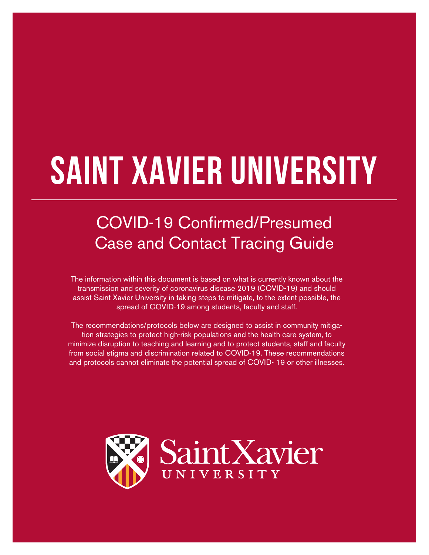# **Saint Xavier University**

# COVID-19 Confirmed/Presumed Case and Contact Tracing Guide

The information within this document is based on what is currently known about the transmission and severity of coronavirus disease 2019 (COVID-19) and should assist Saint Xavier University in taking steps to mitigate, to the extent possible, the spread of COVID-19 among students, faculty and staff.

The recommendations/protocols below are designed to assist in community mitigation strategies to protect high-risk populations and the health care system, to minimize disruption to teaching and learning and to protect students, staff and faculty from social stigma and discrimination related to COVID-19. These recommendations and protocols cannot eliminate the potential spread of COVID- 19 or other illnesses.

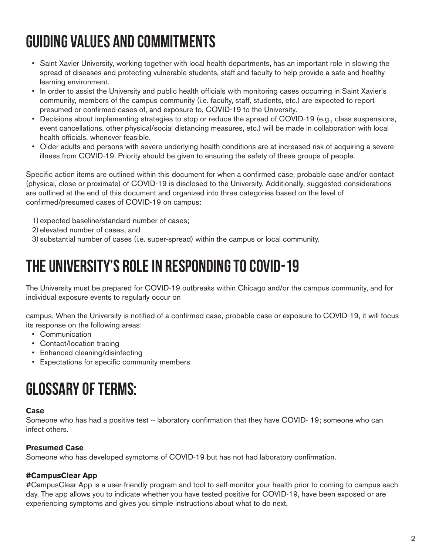# Guiding Values and Commitments

- Saint Xavier University, working together with local health departments, has an important role in slowing the spread of diseases and protecting vulnerable students, staff and faculty to help provide a safe and healthy learning environment.
- In order to assist the University and public health officials with monitoring cases occurring in Saint Xavier's community, members of the campus community (i.e. faculty, staff, students, etc.) are expected to report presumed or confirmed cases of, and exposure to, COVID-19 to the University.
- Decisions about implementing strategies to stop or reduce the spread of COVID-19 (e.g., class suspensions, event cancellations, other physical/social distancing measures, etc.) will be made in collaboration with local health officials, whenever feasible.
- Older adults and persons with severe underlying health conditions are at increased risk of acquiring a severe illness from COVID-19. Priority should be given to ensuring the safety of these groups of people.

Specific action items are outlined within this document for when a confirmed case, probable case and/or contact (physical, close or proximate) of COVID-19 is disclosed to the University. Additionally, suggested considerations are outlined at the end of this document and organized into three categories based on the level of confirmed/presumed cases of COVID-19 on campus:

- 1) expected baseline/standard number of cases;
- 2) elevated number of cases; and
- 3) substantial number of cases (i.e. super-spread) within the campus or local community.

### The University's Role in Responding to COVID-19

The University must be prepared for COVID-19 outbreaks within Chicago and/or the campus community, and for individual exposure events to regularly occur on

campus. When the University is notified of a confirmed case, probable case or exposure to COVID-19, it will focus its response on the following areas:

- Communication
- Contact/location tracing
- Enhanced cleaning/disinfecting
- Expectations for specific community members

## Glossary of Terms:

#### **Case**

Someone who has had a positive test -- laboratory confirmation that they have COVID- 19; someone who can infect others.

#### **Presumed Case**

Someone who has developed symptoms of COVID-19 but has not had laboratory confirmation.

#### **#CampusClear App**

#CampusClear App is a user-friendly program and tool to self-monitor your health prior to coming to campus each day. The app allows you to indicate whether you have tested positive for COVID-19, have been exposed or are experiencing symptoms and gives you simple instructions about what to do next.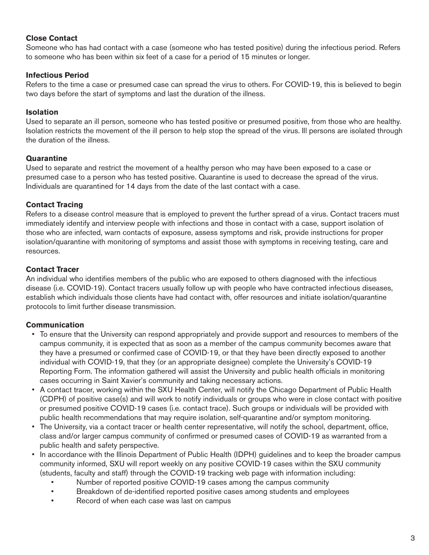#### **Close Contact**

Someone who has had contact with a case (someone who has tested positive) during the infectious period. Refers to someone who has been within six feet of a case for a period of 15 minutes or longer.

#### **Infectious Period**

Refers to the time a case or presumed case can spread the virus to others. For COVID-19, this is believed to begin two days before the start of symptoms and last the duration of the illness.

#### **Isolation**

Used to separate an ill person, someone who has tested positive or presumed positive, from those who are healthy. Isolation restricts the movement of the ill person to help stop the spread of the virus. Ill persons are isolated through the duration of the illness.

#### **Quarantine**

Used to separate and restrict the movement of a healthy person who may have been exposed to a case or presumed case to a person who has tested positive. Quarantine is used to decrease the spread of the virus. Individuals are quarantined for 14 days from the date of the last contact with a case.

#### **Contact Tracing**

Refers to a disease control measure that is employed to prevent the further spread of a virus. Contact tracers must immediately identify and interview people with infections and those in contact with a case, support isolation of those who are infected, warn contacts of exposure, assess symptoms and risk, provide instructions for proper isolation/quarantine with monitoring of symptoms and assist those with symptoms in receiving testing, care and resources.

#### **Contact Tracer**

An individual who identifies members of the public who are exposed to others diagnosed with the infectious disease (i.e. COVID-19). Contact tracers usually follow up with people who have contracted infectious diseases, establish which individuals those clients have had contact with, offer resources and initiate isolation/quarantine protocols to limit further disease transmission.

#### **Communication**

- To ensure that the University can respond appropriately and provide support and resources to members of the campus community, it is expected that as soon as a member of the campus community becomes aware that they have a presumed or confirmed case of COVID-19, or that they have been directly exposed to another individual with COVID-19, that they (or an appropriate designee) complete the University's COVID-19 Reporting Form. The information gathered will assist the University and public health officials in monitoring cases occurring in Saint Xavier's community and taking necessary actions.
- A contact tracer, working within the SXU Health Center, will notify the Chicago Department of Public Health (CDPH) of positive case(s) and will work to notify individuals or groups who were in close contact with positive or presumed positive COVID-19 cases (i.e. contact trace). Such groups or individuals will be provided with public health recommendations that may require isolation, self-quarantine and/or symptom monitoring.
- The University, via a contact tracer or health center representative, will notify the school, department, office, class and/or larger campus community of confirmed or presumed cases of COVID-19 as warranted from a public health and safety perspective.
- In accordance with the Illinois Department of Public Health (IDPH) guidelines and to keep the broader campus community informed, SXU will report weekly on any positive COVID-19 cases within the SXU community (students, faculty and staff) through the COVID-19 tracking web page with information including:
	- Number of reported positive COVID-19 cases among the campus community
	- Breakdown of de-identified reported positive cases among students and employees
	- Record of when each case was last on campus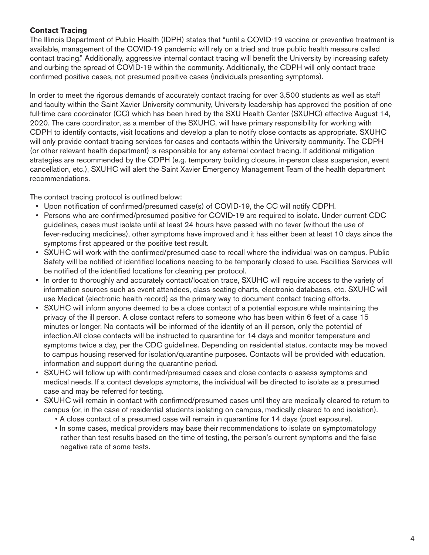#### **Contact Tracing**

The Illinois Department of Public Health (IDPH) states that "until a COVID-19 vaccine or preventive treatment is available, management of the COVID-19 pandemic will rely on a tried and true public health measure called contact tracing." Additionally, aggressive internal contact tracing will benefit the University by increasing safety and curbing the spread of COVID-19 within the community. Additionally, the CDPH will only contact trace confirmed positive cases, not presumed positive cases (individuals presenting symptoms).

In order to meet the rigorous demands of accurately contact tracing for over 3,500 students as well as staff and faculty within the Saint Xavier University community, University leadership has approved the position of one full-time care coordinator (CC) which has been hired by the SXU Health Center (SXUHC) effective August 14, 2020. The care coordinator, as a member of the SXUHC, will have primary responsibility for working with CDPH to identify contacts, visit locations and develop a plan to notify close contacts as appropriate. SXUHC will only provide contact tracing services for cases and contacts within the University community. The CDPH (or other relevant health department) is responsible for any external contact tracing. If additional mitigation strategies are recommended by the CDPH (e.g. temporary building closure, in-person class suspension, event cancellation, etc.), SXUHC will alert the Saint Xavier Emergency Management Team of the health department recommendations.

The contact tracing protocol is outlined below:

- Upon notification of confirmed/presumed case(s) of COVID-19, the CC will notify CDPH.
- Persons who are confirmed/presumed positive for COVID-19 are required to isolate. Under current CDC guidelines, cases must isolate until at least 24 hours have passed with no fever (without the use of fever-reducing medicines), other symptoms have improved and it has either been at least 10 days since the symptoms first appeared or the positive test result.
- SXUHC will work with the confirmed/presumed case to recall where the individual was on campus. Public Safety will be notified of identified locations needing to be temporarily closed to use. Facilities Services will be notified of the identified locations for cleaning per protocol.
- In order to thoroughly and accurately contact/location trace, SXUHC will require access to the variety of information sources such as event attendees, class seating charts, electronic databases, etc. SXUHC will use Medicat (electronic health record) as the primary way to document contact tracing efforts.
- SXUHC will inform anyone deemed to be a close contact of a potential exposure while maintaining the privacy of the ill person. A close contact refers to someone who has been within 6 feet of a case 15 minutes or longer. No contacts will be informed of the identity of an ill person, only the potential of infection.All close contacts will be instructed to quarantine for 14 days and monitor temperature and symptoms twice a day, per the CDC guidelines. Depending on residential status, contacts may be moved to campus housing reserved for isolation/quarantine purposes. Contacts will be provided with education, information and support during the quarantine period.
- SXUHC will follow up with confirmed/presumed cases and close contacts o assess symptoms and medical needs. If a contact develops symptoms, the individual will be directed to isolate as a presumed case and may be referred for testing.
- SXUHC will remain in contact with confirmed/presumed cases until they are medically cleared to return to campus (or, in the case of residential students isolating on campus, medically cleared to end isolation).
	- A close contact of a presumed case will remain in quarantine for 14 days (post exposure).
	- In some cases, medical providers may base their recommendations to isolate on symptomatology rather than test results based on the time of testing, the person's current symptoms and the false negative rate of some tests.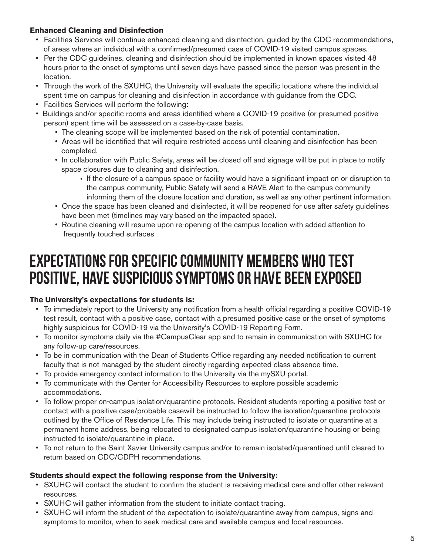#### **Enhanced Cleaning and Disinfection**

- Facilities Services will continue enhanced cleaning and disinfection, guided by the CDC recommendations, of areas where an individual with a confirmed/presumed case of COVID-19 visited campus spaces.
- Per the CDC guidelines, cleaning and disinfection should be implemented in known spaces visited 48 hours prior to the onset of symptoms until seven days have passed since the person was present in the location.
- Through the work of the SXUHC, the University will evaluate the specific locations where the individual spent time on campus for cleaning and disinfection in accordance with guidance from the CDC.
- Facilities Services will perform the following:
- Buildings and/or specific rooms and areas identified where a COVID-19 positive (or presumed positive person) spent time will be assessed on a case-by-case basis.
	- The cleaning scope will be implemented based on the risk of potential contamination.
	- Areas will be identified that will require restricted access until cleaning and disinfection has been completed.
	- In collaboration with Public Safety, areas will be closed off and signage will be put in place to notify space closures due to cleaning and disinfection.
		- If the closure of a campus space or facility would have a significant impact on or disruption to the campus community, Public Safety will send a RAVE Alert to the campus community informing them of the closure location and duration, as well as any other pertinent information.
	- Once the space has been cleaned and disinfected, it will be reopened for use after safety guidelines have been met (timelines may vary based on the impacted space).
	- Routine cleaning will resume upon re-opening of the campus location with added attention to frequently touched surfaces

## Expectations for Specific Community Members Who Test Positive, Have Suspicious Symptoms or Have Been Exposed

#### **The University's expectations for students is:**

- To immediately report to the University any notification from a health official regarding a positive COVID-19 test result, contact with a positive case, contact with a presumed positive case or the onset of symptoms highly suspicious for COVID-19 via the University's COVID-19 Reporting Form.
- To monitor symptoms daily via the #CampusClear app and to remain in communication with SXUHC for any follow-up care/resources.
- To be in communication with the Dean of Students Office regarding any needed notification to current faculty that is not managed by the student directly regarding expected class absence time.
- To provide emergency contact information to the University via the mySXU portal.
- To communicate with the Center for Accessibility Resources to explore possible academic accommodations.
- To follow proper on-campus isolation/quarantine protocols. Resident students reporting a positive test or contact with a positive case/probable casewill be instructed to follow the isolation/quarantine protocols outlined by the Office of Residence Life. This may include being instructed to isolate or quarantine at a permanent home address, being relocated to designated campus isolation/quarantine housing or being instructed to isolate/quarantine in place.
- To not return to the Saint Xavier University campus and/or to remain isolated/quarantined until cleared to return based on CDC/CDPH recommendations.

#### **Students should expect the following response from the University:**

- SXUHC will contact the student to confirm the student is receiving medical care and offer other relevant resources.
- SXUHC will gather information from the student to initiate contact tracing.
- SXUHC will inform the student of the expectation to isolate/quarantine away from campus, signs and symptoms to monitor, when to seek medical care and available campus and local resources.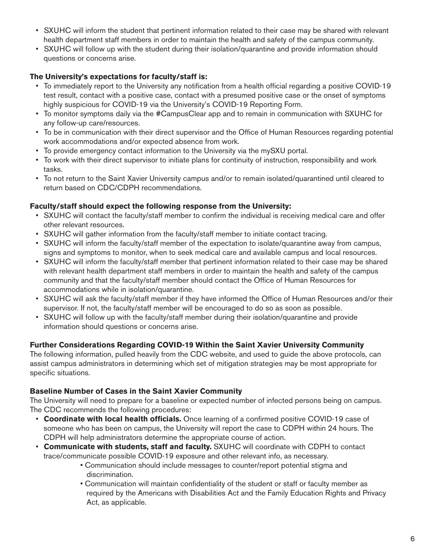- SXUHC will inform the student that pertinent information related to their case may be shared with relevant health department staff members in order to maintain the health and safety of the campus community.
- SXUHC will follow up with the student during their isolation/quarantine and provide information should questions or concerns arise.

#### **The University's expectations for faculty/staff is:**

- To immediately report to the University any notification from a health official regarding a positive COVID-19 test result, contact with a positive case, contact with a presumed positive case or the onset of symptoms highly suspicious for COVID-19 via the University's COVID-19 Reporting Form.
- To monitor symptoms daily via the #CampusClear app and to remain in communication with SXUHC for any follow-up care/resources.
- To be in communication with their direct supervisor and the Office of Human Resources regarding potential work accommodations and/or expected absence from work.
- To provide emergency contact information to the University via the mySXU portal.
- To work with their direct supervisor to initiate plans for continuity of instruction, responsibility and work tasks.
- To not return to the Saint Xavier University campus and/or to remain isolated/quarantined until cleared to return based on CDC/CDPH recommendations.

#### **Faculty/staff should expect the following response from the University:**

- SXUHC will contact the faculty/staff member to confirm the individual is receiving medical care and offer other relevant resources.
- SXUHC will gather information from the faculty/staff member to initiate contact tracing.
- SXUHC will inform the faculty/staff member of the expectation to isolate/quarantine away from campus, signs and symptoms to monitor, when to seek medical care and available campus and local resources.
- SXUHC will inform the faculty/staff member that pertinent information related to their case may be shared with relevant health department staff members in order to maintain the health and safety of the campus community and that the faculty/staff member should contact the Office of Human Resources for accommodations while in isolation/quarantine.
- SXUHC will ask the faculty/staff member if they have informed the Office of Human Resources and/or their supervisor. If not, the faculty/staff member will be encouraged to do so as soon as possible.
- SXUHC will follow up with the faculty/staff member during their isolation/quarantine and provide information should questions or concerns arise.

#### **Further Considerations Regarding COVID-19 Within the Saint Xavier University Community**

The following information, pulled heavily from the CDC website, and used to guide the above protocols, can assist campus administrators in determining which set of mitigation strategies may be most appropriate for specific situations.

#### **Baseline Number of Cases in the Saint Xavier Community**

The University will need to prepare for a baseline or expected number of infected persons being on campus. The CDC recommends the following procedures:

- **Coordinate with local health officials.** Once learning of a confirmed positive COVID-19 case of someone who has been on campus, the University will report the case to CDPH within 24 hours. The CDPH will help administrators determine the appropriate course of action.
- **Communicate with students, staff and faculty.** SXUHC will coordinate with CDPH to contact trace/communicate possible COVID-19 exposure and other relevant info, as necessary.
	- Communication should include messages to counter/report potential stigma and discrimination.
	- Communication will maintain confidentiality of the student or staff or faculty member as required by the Americans with Disabilities Act and the Family Education Rights and Privacy Act, as applicable.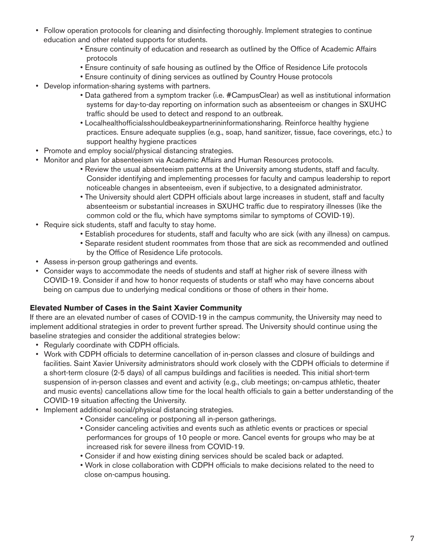- Follow operation protocols for cleaning and disinfecting thoroughly. Implement strategies to continue education and other related supports for students.
	- Ensure continuity of education and research as outlined by the Office of Academic Affairs protocols
	- Ensure continuity of safe housing as outlined by the Office of Residence Life protocols
	- Ensure continuity of dining services as outlined by Country House protocols
- Develop information-sharing systems with partners.
	- Data gathered from a symptom tracker (i.e. #CampusClear) as well as institutional information systems for day-to-day reporting on information such as absenteeism or changes in SXUHC traffic should be used to detect and respond to an outbreak.
	- Localhealthofficialsshouldbeakeypartnerininformationsharing. Reinforce healthy hygiene practices. Ensure adequate supplies (e.g., soap, hand sanitizer, tissue, face coverings, etc.) to support healthy hygiene practices
- Promote and employ social/physical distancing strategies.
- Monitor and plan for absenteeism via Academic Affairs and Human Resources protocols.
	- Review the usual absenteeism patterns at the University among students, staff and faculty. Consider identifying and implementing processes for faculty and campus leadership to report noticeable changes in absenteeism, even if subjective, to a designated administrator.
	- The University should alert CDPH officials about large increases in student, staff and faculty absenteeism or substantial increases in SXUHC traffic due to respiratory illnesses (like the common cold or the flu, which have symptoms similar to symptoms of COVID-19).
- Require sick students, staff and faculty to stay home.
	- Establish procedures for students, staff and faculty who are sick (with any illness) on campus.
	- Separate resident student roommates from those that are sick as recommended and outlined by the Office of Residence Life protocols.
- Assess in-person group gatherings and events.
- Consider ways to accommodate the needs of students and staff at higher risk of severe illness with COVID-19. Consider if and how to honor requests of students or staff who may have concerns about being on campus due to underlying medical conditions or those of others in their home.

#### **Elevated Number of Cases in the Saint Xavier Community**

If there are an elevated number of cases of COVID-19 in the campus community, the University may need to implement additional strategies in order to prevent further spread. The University should continue using the baseline strategies and consider the additional strategies below:

- Regularly coordinate with CDPH officials.
- Work with CDPH officials to determine cancellation of in-person classes and closure of buildings and facilities. Saint Xavier University administrators should work closely with the CDPH officials to determine if a short-term closure (2-5 days) of all campus buildings and facilities is needed. This initial short-term suspension of in-person classes and event and activity (e.g., club meetings; on-campus athletic, theater and music events) cancellations allow time for the local health officials to gain a better understanding of the COVID-19 situation affecting the University.
- Implement additional social/physical distancing strategies.
	- Consider canceling or postponing all in-person gatherings.
	- Consider canceling activities and events such as athletic events or practices or special performances for groups of 10 people or more. Cancel events for groups who may be at increased risk for severe illness from COVID-19.
	- Consider if and how existing dining services should be scaled back or adapted.
	- Work in close collaboration with CDPH officials to make decisions related to the need to close on-campus housing.